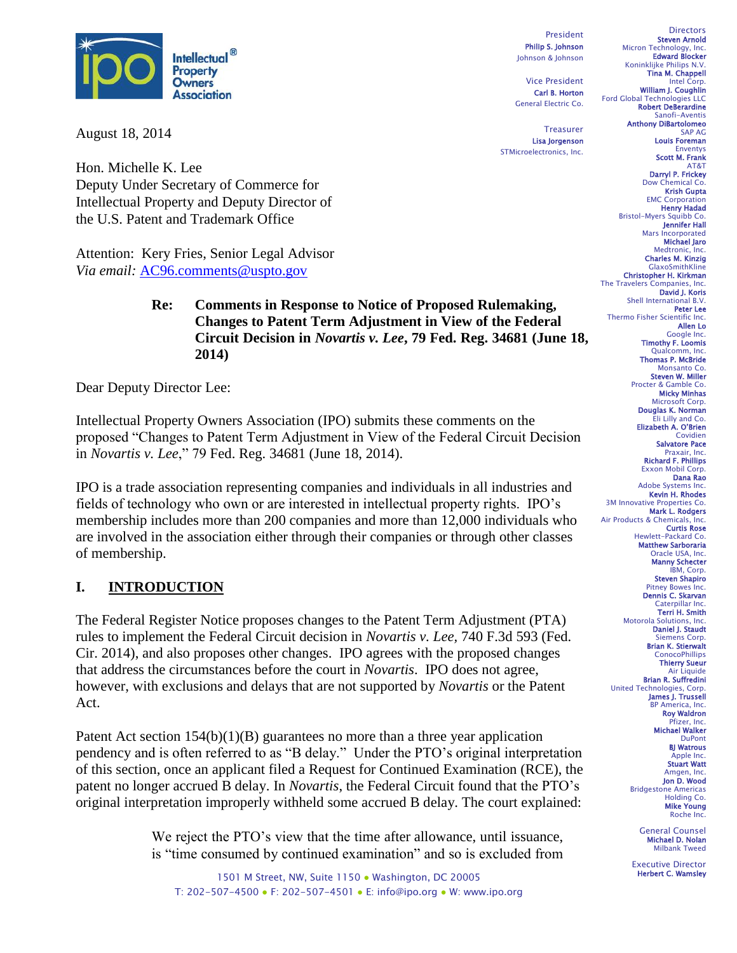

August 18, 2014

Hon. Michelle K. Lee Deputy Under Secretary of Commerce for Intellectual Property and Deputy Director of the U.S. Patent and Trademark Office

Attention: Kery Fries, Senior Legal Advisor *Via email:* [AC96.comments@uspto.gov](mailto:AC96.comments@uspto.gov)

#### **Re: Comments in Response to Notice of Proposed Rulemaking, Changes to Patent Term Adjustment in View of the Federal Circuit Decision in** *Novartis v. Lee***, 79 Fed. Reg. 34681 (June 18, 2014)**

Dear Deputy Director Lee:

Intellectual Property Owners Association (IPO) submits these comments on the proposed "Changes to Patent Term Adjustment in View of the Federal Circuit Decision in *Novartis v. Lee*," 79 Fed. Reg. 34681 (June 18, 2014).

IPO is a trade association representing companies and individuals in all industries and fields of technology who own or are interested in intellectual property rights. IPO's membership includes more than 200 companies and more than 12,000 individuals who are involved in the association either through their companies or through other classes of membership.

# **I. INTRODUCTION**

The Federal Register Notice proposes changes to the Patent Term Adjustment (PTA) rules to implement the Federal Circuit decision in *Novartis v. Lee,* 740 F.3d 593 (Fed. Cir. 2014), and also proposes other changes. IPO agrees with the proposed changes that address the circumstances before the court in *Novartis*. IPO does not agree, however, with exclusions and delays that are not supported by *Novartis* or the Patent Act.

Patent Act section 154(b)(1)(B) guarantees no more than a three year application pendency and is often referred to as "B delay." Under the PTO's original interpretation of this section, once an applicant filed a Request for Continued Examination (RCE), the patent no longer accrued B delay. In *Novartis*, the Federal Circuit found that the PTO's original interpretation improperly withheld some accrued B delay. The court explained:

> We reject the PTO's view that the time after allowance, until issuance, is "time consumed by continued examination" and so is excluded from

1501 M Street, NW, Suite 1150 · Washington, DC 20005 T: 202-507-4500 ● F: 202-507-4501 ● E: info@ipo.org ● W: www.ipo.org

President Philip S. Johnson Johnson & Johnson

Vice President Carl B. Horton General Electric Co.

**Treasurer** Lisa Jorgenson STMicroelectronics, Inc.

**Directors** Steven Arnold Micron Technology, Inc. Edward Blocker Koninklijke Philips N.V. Tina M. Chappell Intel Corp. William J. Coughlin Ford Global Technologies LLC Robert DeBerardine Sanofi-Aventis Anthony DiBartolomeo SAP AG Louis Foreman Enventys Scott M. Frank AT&T Darryl P. Frickey Dow Chemical Co. Krish Gupta **EMC Corporation** Henry Hadad Bristol-Myers Squibb Co. Jennifer Hall Mars Incorporated Michael Jaro Medtronic, Inc. Charles M. Kinzig GlaxoSmithKline Christopher H. Kirkman The Travelers Companies, Inc. David J. Koris Shell International B.V. Peter Lee Thermo Fisher Scientific Inc. Allen Lo Google Inc. Timothy F. Loomis Qualcomm, Inc.<br>**Thomas P. McBride** Monsanto Co. Steven W. Miller<br>Procter & Gamble Co. Micky Minhas Microsoft Corp. Douglas K. Norman Eli Lilly and Co. Elizabeth A. O'Brien Covidien Salvatore Pace Praxair, Inc. Richard F. Phillips Exxon Mobil Corp. Dana Rao Adobe Systems Inc. Kevin H. Rhodes 3M Innovative Properties Co. Mark L. Rodgers Air Products & Chemicals, Inc. Curtis Rose Hewlett-Packard Co. Matthew Sarboraria Oracle USA, Inc. Manny Schecter IBM, Corp. Steven Shapiro Pitney Bowes Inc. Dennis C. Skarvan Caterpillar Inc. Terri H. Smith Motorola Solutions, Inc. Daniel J. Staudt Siemens Corp. Brian K. Stierwalt **ConocoPhillips** Thierry Sueur **Air Liquide** Brian R. Suffredini United Technologies, Corp. James J. Trussell **BP Americ** Roy Waldron Pfizer, Inc. Michael Walker DuPont BJ Watrous Apple Inc. Stuart Watt Amgen, Inc. Jon D. Wood Bridgestone Americas Holding Co. Mike Young Roche Inc.

General Counsel Michael D. Nolan Milbank Tweed

Executive Director Herbert C. Wamsley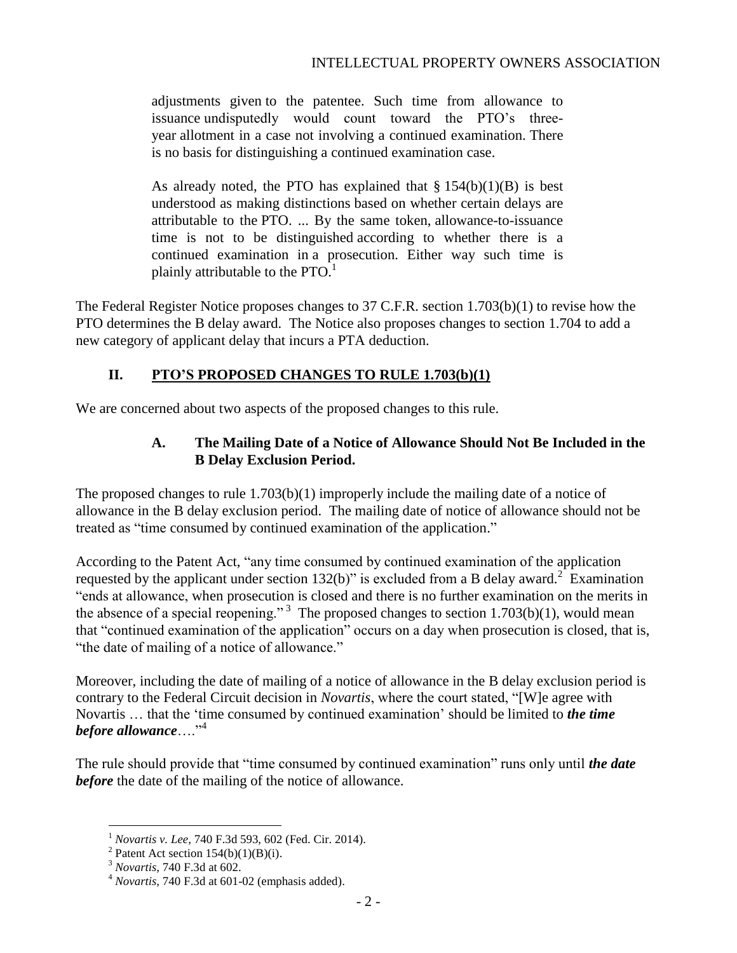adjustments given to the patentee. Such time from allowance to issuance undisputedly would count toward the PTO's threeyear allotment in a case not involving a continued examination. There is no basis for distinguishing a continued examination case.

As already noted, the PTO has explained that  $\S 154(b)(1)(B)$  is best understood as making distinctions based on whether certain delays are attributable to the PTO. ... By the same token, allowance-to-issuance time is not to be distinguished according to whether there is a continued examination in a prosecution. Either way such time is plainly attributable to the  $PTO<sup>1</sup>$ 

The Federal Register Notice proposes changes to 37 C.F.R. section 1.703(b)(1) to revise how the PTO determines the B delay award. The Notice also proposes changes to section 1.704 to add a new category of applicant delay that incurs a PTA deduction.

# **II. PTO'S PROPOSED CHANGES TO RULE 1.703(b)(1)**

We are concerned about two aspects of the proposed changes to this rule.

## **A. The Mailing Date of a Notice of Allowance Should Not Be Included in the B Delay Exclusion Period.**

The proposed changes to rule 1.703(b)(1) improperly include the mailing date of a notice of allowance in the B delay exclusion period. The mailing date of notice of allowance should not be treated as "time consumed by continued examination of the application."

According to the Patent Act, "any time consumed by continued examination of the application requested by the applicant under section  $132(b)$ " is excluded from a B delay award.<sup>2</sup> Examination "ends at allowance, when prosecution is closed and there is no further examination on the merits in the absence of a special reopening."<sup>3</sup> The proposed changes to section 1.703(b)(1), would mean that "continued examination of the application" occurs on a day when prosecution is closed, that is, "the date of mailing of a notice of allowance."

Moreover, including the date of mailing of a notice of allowance in the B delay exclusion period is contrary to the Federal Circuit decision in *Novartis*, where the court stated, "[W]e agree with Novartis … that the 'time consumed by continued examination' should be limited to *the time before allowance*…."<sup>4</sup>

The rule should provide that "time consumed by continued examination" runs only until *the date before* the date of the mailing of the notice of allowance.

 $\overline{a}$ 

<sup>1</sup> *Novartis v. Lee,* 740 F.3d 593, 602 (Fed. Cir. 2014).

<sup>&</sup>lt;sup>2</sup> Patent Act section  $154(b)(1)(B)(i)$ .

<sup>3</sup> *Novartis,* 740 F.3d at 602.

<sup>4</sup> *Novartis,* 740 F.3d at 601-02 (emphasis added).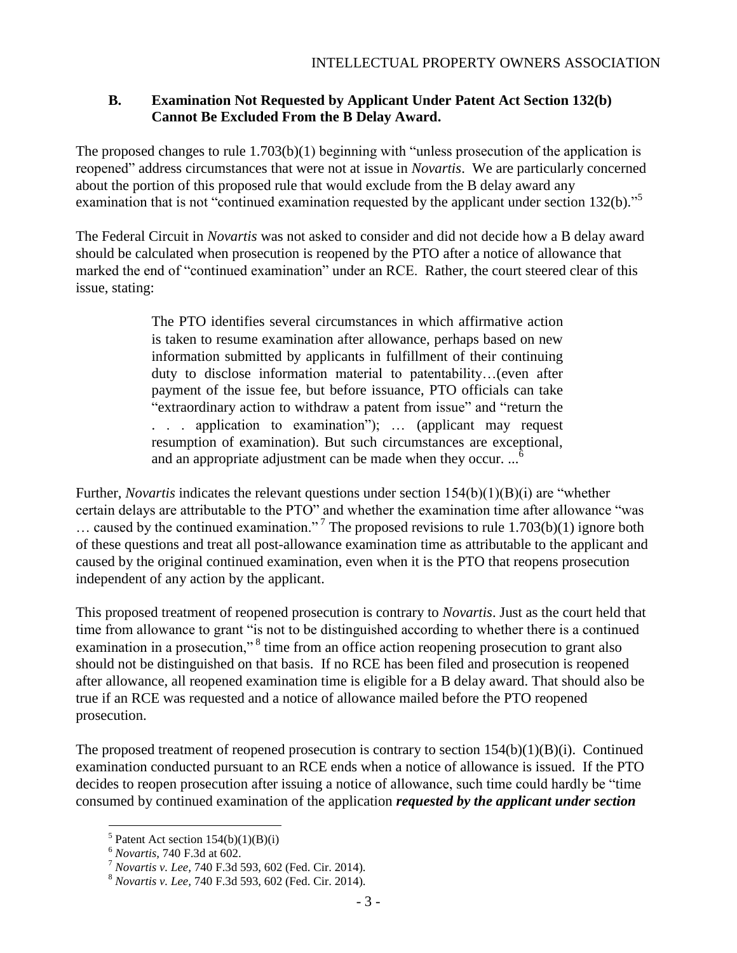### **B. Examination Not Requested by Applicant Under Patent Act Section 132(b) Cannot Be Excluded From the B Delay Award.**

The proposed changes to rule 1.703(b)(1) beginning with "unless prosecution of the application is reopened" address circumstances that were not at issue in *Novartis*. We are particularly concerned about the portion of this proposed rule that would exclude from the B delay award any examination that is not "continued examination requested by the applicant under section 132(b)."<sup>5</sup>

The Federal Circuit in *Novartis* was not asked to consider and did not decide how a B delay award should be calculated when prosecution is reopened by the PTO after a notice of allowance that marked the end of "continued examination" under an RCE. Rather, the court steered clear of this issue, stating:

> The PTO identifies several circumstances in which affirmative action is taken to resume examination after allowance, perhaps based on new information submitted by applicants in fulfillment of their continuing duty to disclose information material to patentability…(even after payment of the issue fee, but before issuance, PTO officials can take "extraordinary action to withdraw a patent from issue" and "return the . . . application to examination"); … (applicant may request resumption of examination). But such circumstances are exceptional, and an appropriate adjustment can be made when they occur.  $\cdot \cdot$ <sup>6</sup>

Further, *Novartis* indicates the relevant questions under section 154(b)(1)(B)(i) are "whether certain delays are attributable to the PTO" and whether the examination time after allowance "was ... caused by the continued examination."<sup>7</sup> The proposed revisions to rule  $1.703(b)(1)$  ignore both of these questions and treat all post-allowance examination time as attributable to the applicant and caused by the original continued examination, even when it is the PTO that reopens prosecution independent of any action by the applicant.

This proposed treatment of reopened prosecution is contrary to *Novartis*. Just as the court held that time from allowance to grant "is not to be distinguished according to whether there is a continued examination in a prosecution,"<sup>8</sup> time from an office action reopening prosecution to grant also should not be distinguished on that basis. If no RCE has been filed and prosecution is reopened after allowance, all reopened examination time is eligible for a B delay award. That should also be true if an RCE was requested and a notice of allowance mailed before the PTO reopened prosecution.

The proposed treatment of reopened prosecution is contrary to section  $154(b)(1)(B)(i)$ . Continued examination conducted pursuant to an RCE ends when a notice of allowance is issued. If the PTO decides to reopen prosecution after issuing a notice of allowance, such time could hardly be "time consumed by continued examination of the application *requested by the applicant under section* 

 $\overline{a}$ 

<sup>&</sup>lt;sup>5</sup> Patent Act section  $154(b)(1)(B)(i)$ 

<sup>6</sup> *Novartis,* 740 F.3d at 602.

<sup>7</sup> *Novartis v. Lee,* 740 F.3d 593, 602 (Fed. Cir. 2014).

<sup>8</sup> *Novartis v. Lee,* 740 F.3d 593, 602 (Fed. Cir. 2014).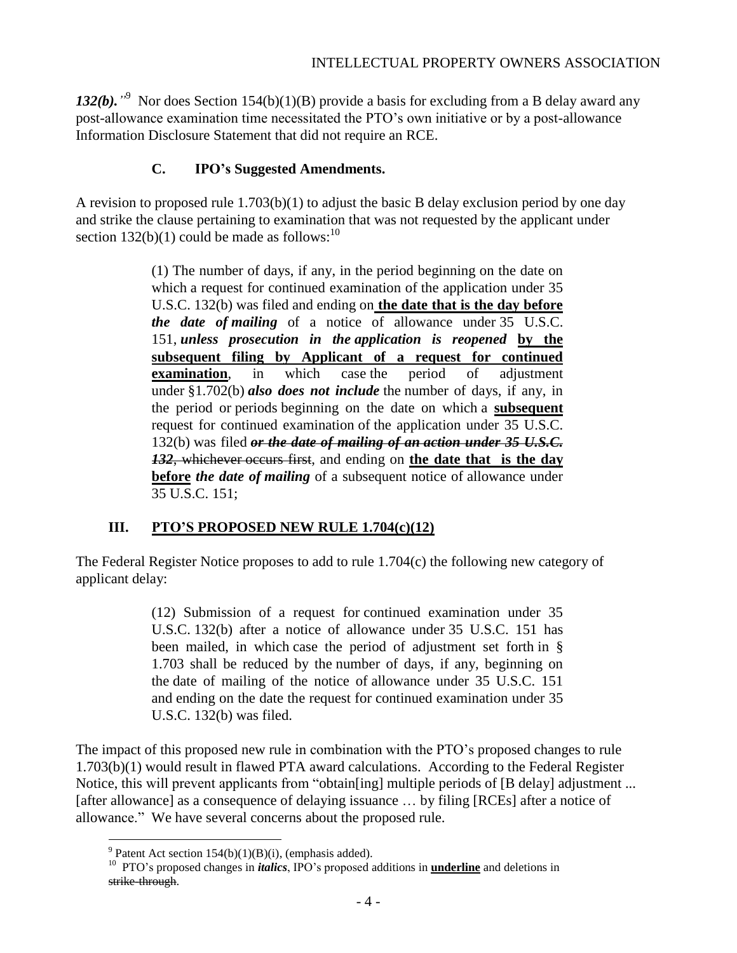132(b).<sup>"9</sup> Nor does Section 154(b)(1)(B) provide a basis for excluding from a B delay award any post-allowance examination time necessitated the PTO's own initiative or by a post-allowance Information Disclosure Statement that did not require an RCE.

# **C. IPO's Suggested Amendments.**

A revision to proposed rule 1.703(b)(1) to adjust the basic B delay exclusion period by one day and strike the clause pertaining to examination that was not requested by the applicant under section 132(b)(1) could be made as follows: $^{10}$ 

> (1) The number of days, if any, in the period beginning on the date on which a request for continued examination of the application under 35 U.S.C. 132(b) was filed and ending on **the date that is the day before** *the date of mailing* of a notice of allowance under 35 U.S.C. 151, *unless prosecution in the application is reopened* **by the subsequent filing by Applicant of a request for continued examination**, in which case the period of adjustment under §1.702(b) *also does not include* the number of days, if any, in the period or periods beginning on the date on which a **subsequent** request for continued examination of the application under 35 U.S.C. 132(b) was filed *or the date of mailing of an action under 35 U.S.C. 132*, whichever occurs first, and ending on **the date that is the day before** *the date of mailing* of a subsequent notice of allowance under 35 U.S.C. 151;

# **III. PTO'S PROPOSED NEW RULE 1.704(c)(12)**

The Federal Register Notice proposes to add to rule 1.704(c) the following new category of applicant delay:

> (12) Submission of a request for continued examination under 35 U.S.C. 132(b) after a notice of allowance under 35 U.S.C. 151 has been mailed, in which case the period of adjustment set forth in § 1.703 shall be reduced by the number of days, if any, beginning on the date of mailing of the notice of allowance under 35 U.S.C. 151 and ending on the date the request for continued examination under 35 U.S.C. 132(b) was filed.

The impact of this proposed new rule in combination with the PTO's proposed changes to rule 1.703(b)(1) would result in flawed PTA award calculations. According to the Federal Register Notice, this will prevent applicants from "obtain[ing] multiple periods of [B delay] adjustment ... [after allowance] as a consequence of delaying issuance … by filing [RCEs] after a notice of allowance." We have several concerns about the proposed rule.

 $\overline{a}$ <sup>9</sup> Patent Act section 154(b)(1)(B)(i), (emphasis added).

<sup>10</sup> PTO's proposed changes in *italics*, IPO's proposed additions in **underline** and deletions in strike-through.